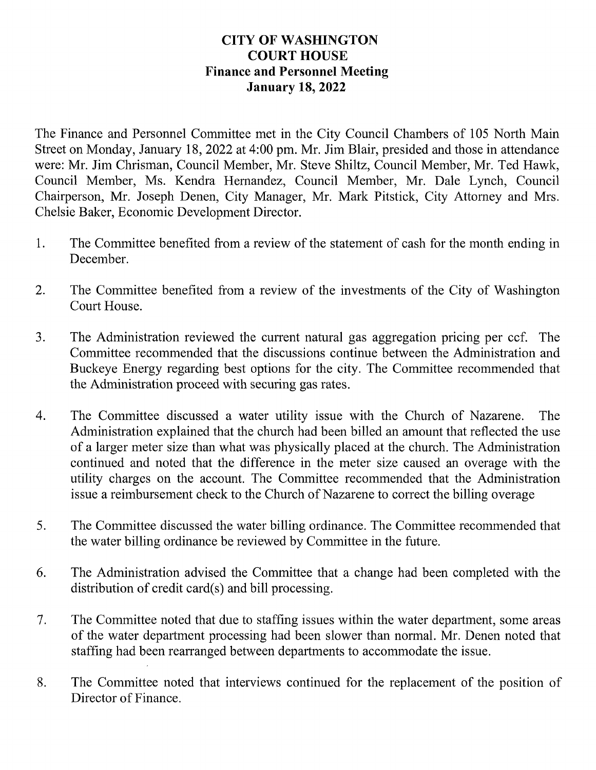## **CITY OF WASHINGTON Y OF WASHING<br>COURT HOUSE COURT HOUSE**<br>Finance and Personnel Meeting January 18, 2022

The Finance and Personnel Committee met in the City Council Chambers of 105 North Main Street on Monday, January 18, 2022 at 4:00 pm. Mr. Jim Blair, presided and those in attendance were: Mr. Jim Chrisman, Council Member, Mr. Steve Shiltz, Council Member, Mr. Ted Hawk, Council Member, Ms. Kendra Hernandez, Council Member, Mr. Dale Lynch, Council Chairperson, Mr. Joseph Denen, City Manager, Mr. Mark Pitstick, City Attorney and Mrs. Chelsie Baker, Economic Development Director.

- 1. The Committee benefited from a review of the statement of cash for the month ending in December.
- 2. The Committee benefited from a review of the investments of the City of Washington Court House.
- 3. The Administration reviewed the current natural gas aggregation pricing per ccf. The Committee recommended that the discussions continue between the Administration and Buckeye Energy regarding best options for the city. The Committee recommended that the Administration proceed with securing gas rates.
- 4. The Committee discussed a water utility issue with the Church of Nazarene. The Administration explained that the church had been billed an amount that reflected the use of a larger meter size than what was physically placed at the church. The Administration continued and noted that the difference in the meter size caused an overage with the utility charges on the account. The Committee recommended that the Administration issue a reimbursement check to the Church of Nazarene to correct the billing overage
- 5. The Committee discussed the water billing ordinance. The Committee recommended that the water billing ordinance be reviewed by Committee in the future.
- 6. The Administration advised the Committee that change had been completed with the distribution of credit card $(s)$  and bill processing.
- 7. The Committee noted that due to staffing issues within the water department, some areas of the water department processing had been slower than normal. Mr. Denen noted that staffing had been rearranged between departments to accommodate the issue.
- 8. The Committee noted that interviews continued for the replacement of the position of Director of Finance.